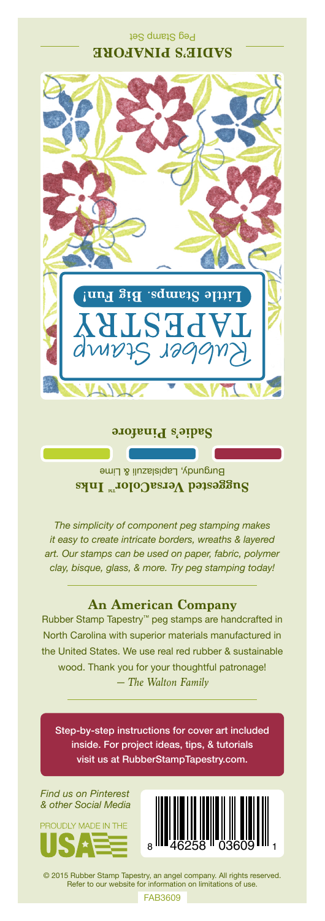## Peg Stamp Set **SADIE'S PINAFORE**



#### **Sadie's Pinafore**

Burgundy, Lapislazuli & Lime **Suggested VersaColor** Inks

*The simplicity of component peg stamping makes it easy to create intricate borders, wreaths & layered art. Our stamps can be used on paper, fabric, polymer clay, bisque, glass, & more. Try peg stamping today!*

### **An American Company**

*— The Walton Family* Rubber Stamp Tapestry™ peg stamps are handcrafted in North Carolina with superior materials manufactured in the United States. We use real red rubber & sustainable wood. Thank you for your thoughtful patronage!

Step-by-step instructions for cover art included inside. For project ideas, tips, & tutorials visit us at RubberStampTapestry.com.

*Find us on Pinterest & other Social Media*





© 2015 Rubber Stamp Tapestry, an angel company. All rights reserved. Refer to our website for information on limitations of use.